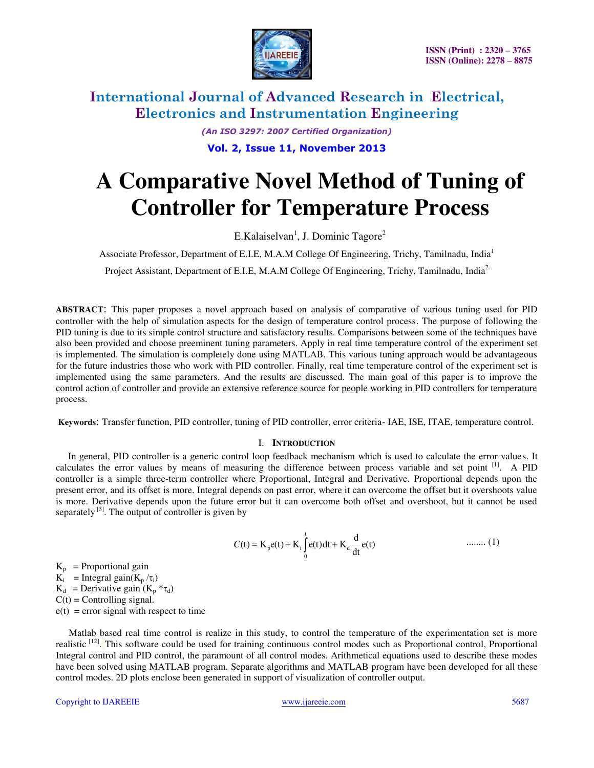

> *(An ISO 3297: 2007 Certified Organization)*  **Vol. 2, Issue 11, November 2013**

# **A Comparative Novel Method of Tuning of Controller for Temperature Process**

E.Kalaiselvan<sup>1</sup>, J. Dominic Tagore<sup>2</sup>

Associate Professor, Department of E.I.E, M.A.M College Of Engineering, Trichy, Tamilnadu, India<sup>1</sup>

Project Assistant, Department of E.I.E, M.A.M College Of Engineering, Trichy, Tamilnadu, India<sup>2</sup>

**ABSTRACT**: This paper proposes a novel approach based on analysis of comparative of various tuning used for PID controller with the help of simulation aspects for the design of temperature control process. The purpose of following the PID tuning is due to its simple control structure and satisfactory results. Comparisons between some of the techniques have also been provided and choose preeminent tuning parameters. Apply in real time temperature control of the experiment set is implemented. The simulation is completely done using MATLAB. This various tuning approach would be advantageous for the future industries those who work with PID controller. Finally, real time temperature control of the experiment set is implemented using the same parameters. And the results are discussed. The main goal of this paper is to improve the control action of controller and provide an extensive reference source for people working in PID controllers for temperature process.

 **Keywords**: Transfer function, PID controller, tuning of PID controller, error criteria- IAE, ISE, ITAE, temperature control.

#### I. **INTRODUCTION**

 In general, PID controller is a generic control loop feedback mechanism which is used to calculate the error values. It calculates the error values by means of measuring the difference between process variable and set point [1]. A PID controller is a simple three-term controller where Proportional, Integral and Derivative. Proportional depends upon the present error, and its offset is more. Integral depends on past error, where it can overcome the offset but it overshoots value is more. Derivative depends upon the future error but it can overcome both offset and overshoot, but it cannot be used separately  $^{[3]}$ . The output of controller is given by

$$
C(t) = K_p e(t) + K_i \int_0^t e(t) dt + K_d \frac{d}{dt} e(t) \qquad \qquad \dots \dots \dots (1)
$$

 $K_p$  = Proportional gain  $\overrightarrow{K_i}$  = Integral gain( $K_p / \tau_i$ )  $K_d$  = Derivative gain  $(K_p * \tau_d)$  $C(t)$  = Controlling signal.  $e(t)$  = error signal with respect to time

 Matlab based real time control is realize in this study, to control the temperature of the experimentation set is more realistic <sup>[12]</sup>. This software could be used for training continuous control modes such as Proportional control, Proportional Integral control and PID control, the paramount of all control modes. Arithmetical equations used to describe these modes have been solved using MATLAB program. Separate algorithms and MATLAB program have been developed for all these control modes. 2D plots enclose been generated in support of visualization of controller output.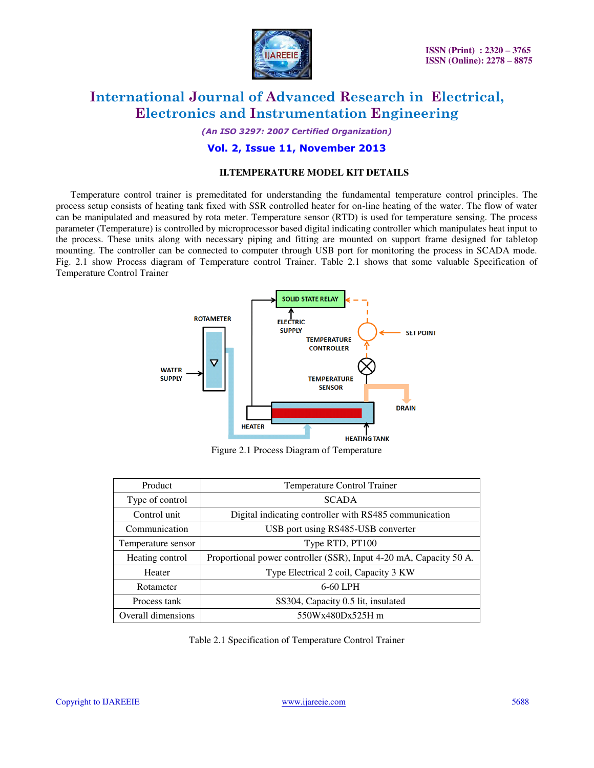

*(An ISO 3297: 2007 Certified Organization)* 

### **Vol. 2, Issue 11, November 2013**

#### **II.TEMPERATURE MODEL KIT DETAILS**

 Temperature control trainer is premeditated for understanding the fundamental temperature control principles. The process setup consists of heating tank fixed with SSR controlled heater for on-line heating of the water. The flow of water can be manipulated and measured by rota meter. Temperature sensor (RTD) is used for temperature sensing. The process parameter (Temperature) is controlled by microprocessor based digital indicating controller which manipulates heat input to the process. These units along with necessary piping and fitting are mounted on support frame designed for tabletop mounting. The controller can be connected to computer through USB port for monitoring the process in SCADA mode. Fig. 2.1 show Process diagram of Temperature control Trainer. Table 2.1 shows that some valuable Specification of Temperature Control Trainer



Figure 2.1 Process Diagram of Temperature

| Product            | Temperature Control Trainer                                        |  |
|--------------------|--------------------------------------------------------------------|--|
| Type of control    | <b>SCADA</b>                                                       |  |
| Control unit       | Digital indicating controller with RS485 communication             |  |
| Communication      | USB port using RS485-USB converter                                 |  |
| Temperature sensor | Type RTD, PT100                                                    |  |
| Heating control    | Proportional power controller (SSR), Input 4-20 mA, Capacity 50 A. |  |
| Heater             | Type Electrical 2 coil, Capacity 3 KW                              |  |
| Rotameter          | 6-60 LPH                                                           |  |
| Process tank       | SS304, Capacity 0.5 lit, insulated                                 |  |
| Overall dimensions | 550Wx480Dx525H m                                                   |  |

Table 2.1 Specification of Temperature Control Trainer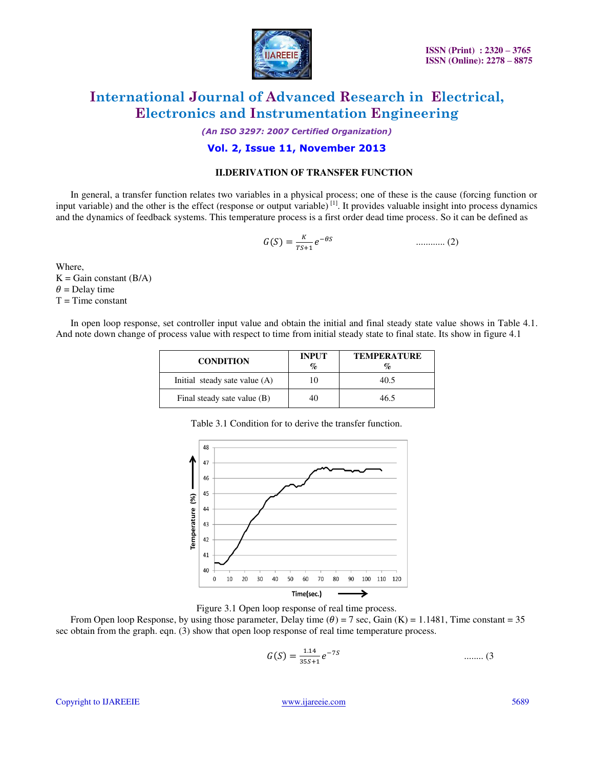

*(An ISO 3297: 2007 Certified Organization)* 

### **Vol. 2, Issue 11, November 2013**

#### **II.DERIVATION OF TRANSFER FUNCTION**

 In general, a transfer function relates two variables in a physical process; one of these is the cause (forcing function or input variable) and the other is the effect (response or output variable) $^{[1]}$ . It provides valuable insight into process dynamics and the dynamics of feedback systems. This temperature process is a first order dead time process. So it can be defined as

 ሺ ሻ ............ (2)

Where,  $K =$ Gain constant (B/A)

 $\theta$  = Delay time Τ = Time constant

 In open loop response, set controller input value and obtain the initial and final steady state value shows in Table 4.1. And note down change of process value with respect to time from initial steady state to final state. Its show in figure 4.1

| <b>CONDITION</b>                | <b>INPUT</b><br>$\%$ | <b>TEMPERATURE</b><br>$\mathcal{O}_\mathcal{D}$ |
|---------------------------------|----------------------|-------------------------------------------------|
| Initial steady sate value $(A)$ |                      | 40.5                                            |
| Final steady sate value (B)     | 40                   | 46.5                                            |

Table 3.1 Condition for to derive the transfer function.



Figure 3.1 Open loop response of real time process.

From Open loop Response, by using those parameter, Delay time  $(\theta) = 7$  sec, Gain (K) = 1.1481, Time constant = 35 sec obtain from the graph. eqn. (3) show that open loop response of real time temperature process.

$$
G(S) = \frac{1.14}{35S + 1} e^{-7S} \qquad \qquad \dots \dots \dots \tag{3}
$$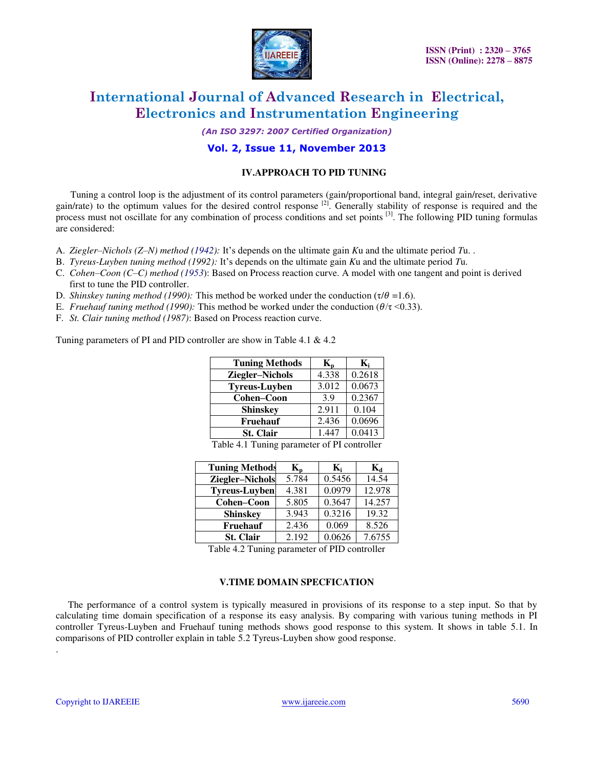

*(An ISO 3297: 2007 Certified Organization)* 

### **Vol. 2, Issue 11, November 2013**

#### **IV.APPROACH TO PID TUNING**

 Tuning a control loop is the adjustment of its control parameters (gain/proportional band, integral gain/reset, derivative gain/rate) to the optimum values for the desired control response <sup>[2]</sup>. Generally stability of response is required and the process must not oscillate for any combination of process conditions and set points <sup>[3]</sup>. The following PID tuning formulas are considered:

- A. *Ziegler–Nichols (Z–N) method (1942):* It's depends on the ultimate gain *K*u and the ultimate period *T*u. .
- B. *Tyreus-Luyben tuning method (1992):* It's depends on the ultimate gain *K*u and the ultimate period *T*u.
- C. *Cohen–Coon (C–C) method (1953*): Based on Process reaction curve. A model with one tangent and point is derived first to tune the PID controller.
- D. *Shinskey tuning method (1990):* This method be worked under the conduction ( $\tau/\theta = 1.6$ ).
- E. *Fruehauf tuning method (1990)*: This method be worked under the conduction ( $\theta/\tau$  <0.33).
- F. *St. Clair tuning method (1987)*: Based on Process reaction curve.

Tuning parameters of PI and PID controller are show in Table 4.1 & 4.2

| <b>Tuning Methods</b> | $\mathbf{K}_{\mathbf{p}}$ | $\mathbf{K}_{i}$ |
|-----------------------|---------------------------|------------------|
| Ziegler-Nichols       | 4.338                     | 0.2618           |
| <b>Tyreus-Luyben</b>  | 3.012                     | 0.0673           |
| Cohen-Coon            | 3.9                       | 0.2367           |
| <b>Shinskey</b>       | 2.911                     | 0.104            |
| Fruehauf              | 2.436                     | 0.0696           |
| <b>St. Clair</b>      | 1.447                     | 0.0413           |

Table 4.1 Tuning parameter of PI controller

| <b>Tuning Methods</b> | $K_{n}$ | K:     | K,     |
|-----------------------|---------|--------|--------|
| Ziegler-Nichols       | 5.784   | 0.5456 | 14.54  |
| <b>Tyreus-Luyben</b>  | 4.381   | 0.0979 | 12.978 |
| Cohen-Coon            | 5.805   | 0.3647 | 14.257 |
| <b>Shinskey</b>       | 3.943   | 0.3216 | 19.32  |
| Fruehauf              | 2.436   | 0.069  | 8.526  |
| <b>St. Clair</b>      | 2.192   | 0.0626 | 7.6755 |

Table 4.2 Tuning parameter of PID controller

### **V.TIME DOMAIN SPECFICATION**

 The performance of a control system is typically measured in provisions of its response to a step input. So that by calculating time domain specification of a response its easy analysis. By comparing with various tuning methods in PI controller Tyreus-Luyben and Fruehauf tuning methods shows good response to this system. It shows in table 5.1. In comparisons of PID controller explain in table 5.2 Tyreus-Luyben show good response.

.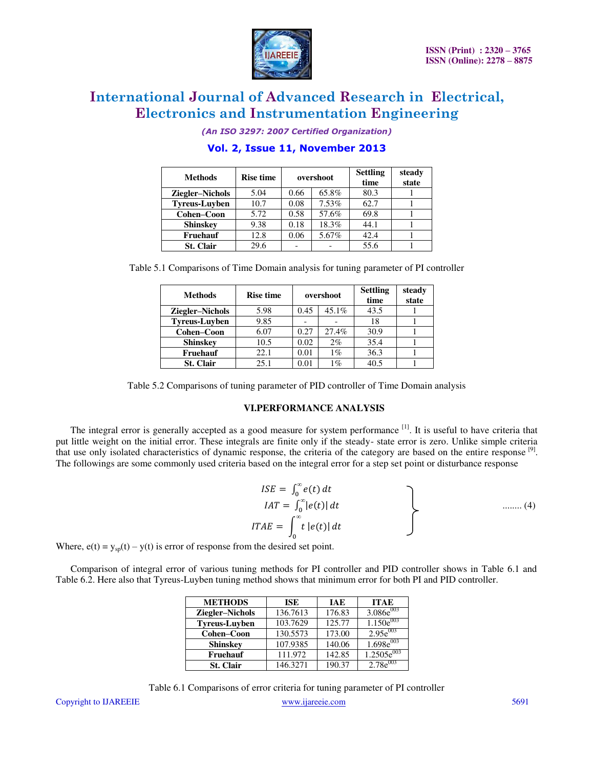

*(An ISO 3297: 2007 Certified Organization)* 

| <b>Methods</b>       | <b>Rise time</b> | overshoot |          | <b>Settling</b><br>time | steady<br>state |
|----------------------|------------------|-----------|----------|-------------------------|-----------------|
| Ziegler-Nichols      | 5.04             | 0.66      | 65.8%    | 80.3                    |                 |
| <b>Tyreus-Luyben</b> | 10.7             | 0.08      | $7.53\%$ | 62.7                    |                 |
| Cohen-Coon           | 5.72             | 0.58      | 57.6%    | 69.8                    |                 |
| <b>Shinskey</b>      | 9.38             | 0.18      | 18.3%    | 44.1                    |                 |
| <b>Fruehauf</b>      | 12.8             | 0.06      | 5.67%    | 42.4                    |                 |
| <b>St. Clair</b>     | 29.6             |           |          | 55.6                    |                 |

### **Vol. 2, Issue 11, November 2013**

Table 5.1 Comparisons of Time Domain analysis for tuning parameter of PI controller

| <b>Methods</b>         | <b>Rise time</b> | overshoot |          | <b>Settling</b><br>time | steady<br>state |
|------------------------|------------------|-----------|----------|-------------------------|-----------------|
| <b>Ziegler-Nichols</b> | 5.98             | 0.45      | $45.1\%$ | 43.5                    |                 |
| <b>Tyreus-Luyben</b>   | 9.85             |           |          | 18                      |                 |
| Cohen-Coon             | 6.07             | 0.27      | 27.4%    | 30.9                    |                 |
| <b>Shinskey</b>        | 10.5             | 0.02      | 2%       | 35.4                    |                 |
| Fruehauf               | 22.1             | 0.01      | $1\%$    | 36.3                    |                 |
| St. Clair              | 25.1             | 0.01      | 1%       | 40.5                    |                 |

Table 5.2 Comparisons of tuning parameter of PID controller of Time Domain analysis

#### **VI.PERFORMANCE ANALYSIS**

The integral error is generally accepted as a good measure for system performance <sup>[1]</sup>. It is useful to have criteria that put little weight on the initial error. These integrals are finite only if the steady- state error is zero. Unlike simple criteria that use only isolated characteristics of dynamic response, the criteria of the category are based on the entire response [9]. The followings are some commonly used criteria based on the integral error for a step set point or disturbance response

$$
ISE = \int_0^\infty e(t) dt
$$
  
\n
$$
IAT = \int_0^\infty |e(t)| dt
$$
  
\n
$$
ITAE = \int_0^\infty t |e(t)| dt
$$
 ......(4)

Where,  $e(t) = y_{sp}(t) - y(t)$  is error of response from the desired set point.

 Comparison of integral error of various tuning methods for PI controller and PID controller shows in Table 6.1 and Table 6.2. Here also that Tyreus-Luyben tuning method shows that minimum error for both PI and PID controller.

| <b>METHODS</b>         | ISE      | <b>IAE</b> | <b>ITAE</b>     |
|------------------------|----------|------------|-----------------|
| <b>Ziegler-Nichols</b> | 136.7613 | 176.83     | $3.086e^{003}$  |
| <b>Tyreus-Luyben</b>   | 103.7629 | 125.77     | $1.150e^{003}$  |
| Cohen-Coon             | 130.5573 | 173.00     | $2.95e^{003}$   |
| <b>Shinskey</b>        | 107.9385 | 140.06     | $1.698e^{003}$  |
| Fruehauf               | 111.972  | 142.85     | $1.2505e^{003}$ |
| <b>St. Clair</b>       | 146.3271 | 190.37     | $2.78e^{003}$   |

|                              | Table 6.1 Comparisons of error criteria for tuning parameter of PI controller |      |
|------------------------------|-------------------------------------------------------------------------------|------|
| Copyright to <b>IJAREEIE</b> | www.mareeje.com                                                               | 5691 |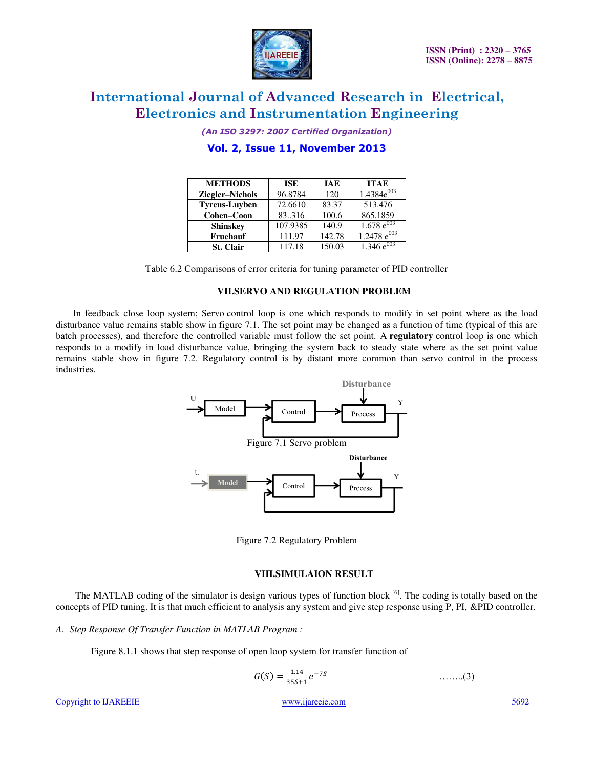

*(An ISO 3297: 2007 Certified Organization)* 

| <b>METHODS</b>       | <b>ISE</b> | <b>IAE</b> | <b>ITAE</b>      |
|----------------------|------------|------------|------------------|
| Ziegler-Nichols      | 96.8784    | 120        | $1.4384e^{003}$  |
| <b>Tyreus-Luvben</b> | 72.6610    | 83.37      | 513.476          |
| Cohen-Coon           | 83.316     | 100.6      | 865.1859         |
| <b>Shinskey</b>      | 107.9385   | 140.9      | $1.678 e^{003}$  |
| <b>Fruehauf</b>      | 111.97     | 142.78     | $1.2478 e^{003}$ |
| <b>St. Clair</b>     | 117.18     | 150.03     | $1.346e^{003}$   |

## **Vol. 2, Issue 11, November 2013**

Table 6.2 Comparisons of error criteria for tuning parameter of PID controller

#### **VII.SERVO AND REGULATION PROBLEM**

 In feedback close loop system; Servo control loop is one which responds to modify in set point where as the load disturbance value remains stable show in figure 7.1. The set point may be changed as a function of time (typical of this are batch processes), and therefore the controlled variable must follow the set point. A **regulatory** control loop is one which responds to a modify in load disturbance value, bringing the system back to steady state where as the set point value remains stable show in figure 7.2. Regulatory control is by distant more common than servo control in the process industries.



Figure 7.2 Regulatory Problem

#### **VIII.SIMULAION RESULT**

The MATLAB coding of the simulator is design various types of function block <sup>[6]</sup>. The coding is totally based on the concepts of PID tuning. It is that much efficient to analysis any system and give step response using P, PI, &PID controller.

*A. Step Response Of Transfer Function in MATLAB Program :* 

Figure 8.1.1 shows that step response of open loop system for transfer function of

$$
G(S) = \frac{1.14}{35S + 1} e^{-7S} \qquad \qquad \dots \dots (3)
$$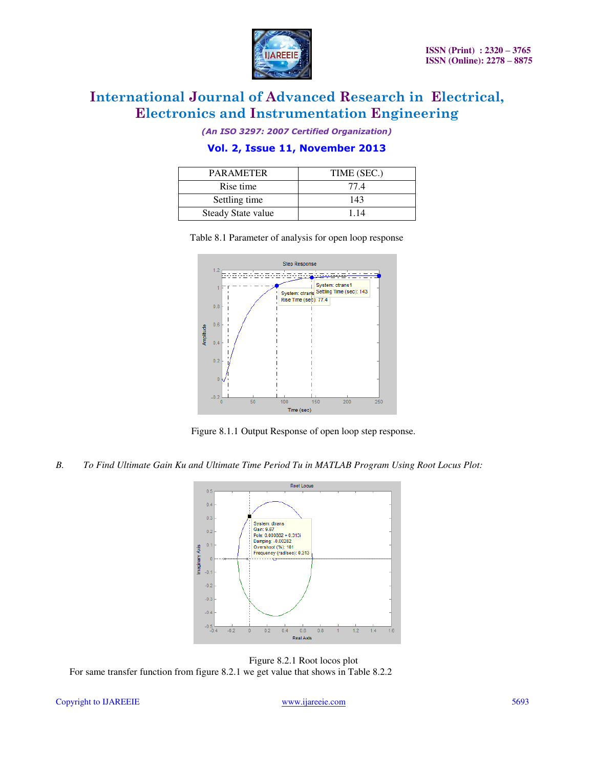

*(An ISO 3297: 2007 Certified Organization)* 

### **Vol. 2, Issue 11, November 2013**

| <b>PARAMETER</b>   | TIME (SEC.) |
|--------------------|-------------|
| Rise time          | 77.4        |
| Settling time      | 143         |
| Steady State value | 114         |



Table 8.1 Parameter of analysis for open loop response

Figure 8.1.1 Output Response of open loop step response.

#### *B. To Find Ultimate Gain Ku and Ultimate Time Period Tu in MATLAB Program Using Root Locus Plot:*



Figure 8.2.1 Root locos plot For same transfer function from figure 8.2.1 we get value that shows in Table 8.2.2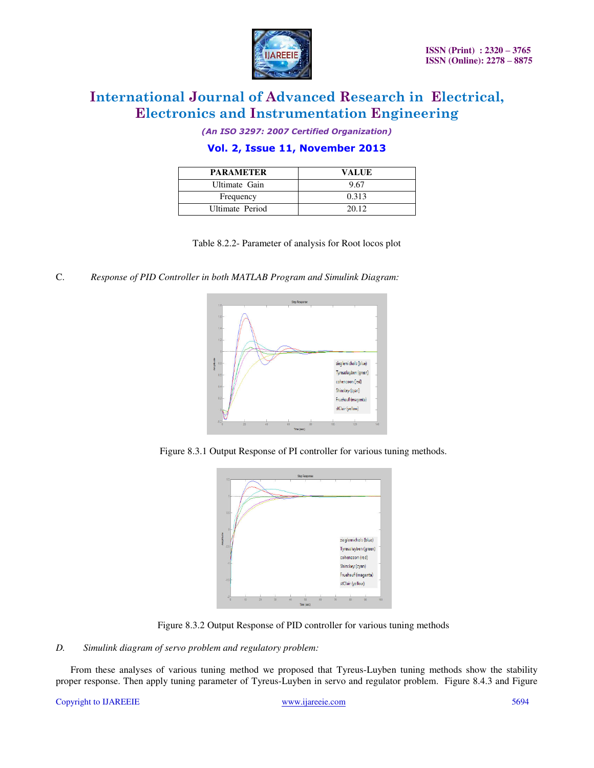

*(An ISO 3297: 2007 Certified Organization)* 

### **Vol. 2, Issue 11, November 2013**

| <b>PARAMETER</b> | VALUE |
|------------------|-------|
| Ultimate Gain    | 9.67  |
| Frequency        | 0.313 |
| Ultimate Period  | 20.12 |

Table 8.2.2- Parameter of analysis for Root locos plot

C. *Response of PID Controller in both MATLAB Program and Simulink Diagram:*



Figure 8.3.1 Output Response of PI controller for various tuning methods.



Figure 8.3.2 Output Response of PID controller for various tuning methods

#### *D. Simulink diagram of servo problem and regulatory problem:*

 From these analyses of various tuning method we proposed that Tyreus-Luyben tuning methods show the stability proper response. Then apply tuning parameter of Tyreus-Luyben in servo and regulator problem. Figure 8.4.3 and Figure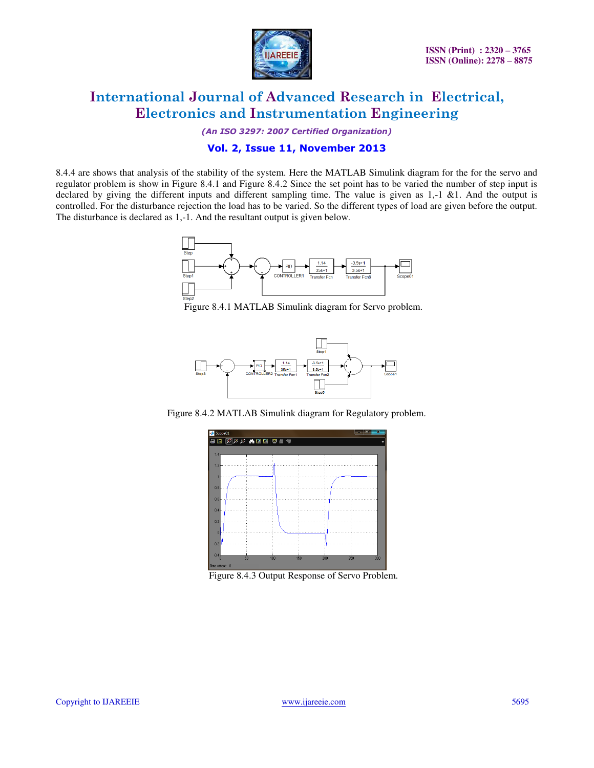

*(An ISO 3297: 2007 Certified Organization)* 

### **Vol. 2, Issue 11, November 2013**

8.4.4 are shows that analysis of the stability of the system. Here the MATLAB Simulink diagram for the for the servo and regulator problem is show in Figure 8.4.1 and Figure 8.4.2 Since the set point has to be varied the number of step input is declared by giving the different inputs and different sampling time. The value is given as 1,-1 &1. And the output is controlled. For the disturbance rejection the load has to be varied. So the different types of load are given before the output. The disturbance is declared as 1,-1. And the resultant output is given below.



Figure 8.4.1 MATLAB Simulink diagram for Servo problem.



Figure 8.4.2 MATLAB Simulink diagram for Regulatory problem.



Figure 8.4.3 Output Response of Servo Problem.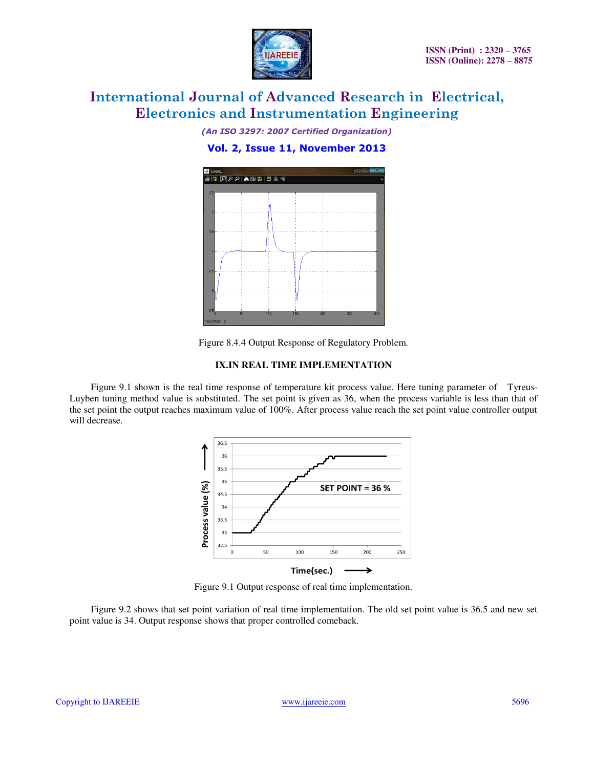

*(An ISO 3297: 2007 Certified Organization)* 

### **Vol. 2, Issue 11, November 2013**



Figure 8.4.4 Output Response of Regulatory Problem.

#### **IX.IN REAL TIME IMPLEMENTATION**

 Figure 9.1 shown is the real time response of temperature kit process value. Here tuning parameter of Tyreus-Luyben tuning method value is substituted. The set point is given as 36, when the process variable is less than that of the set point the output reaches maximum value of 100%. After process value reach the set point value controller output will decrease.



Figure 9.1 Output response of real time implementation.

 Figure 9.2 shows that set point variation of real time implementation. The old set point value is 36.5 and new set point value is 34. Output response shows that proper controlled comeback.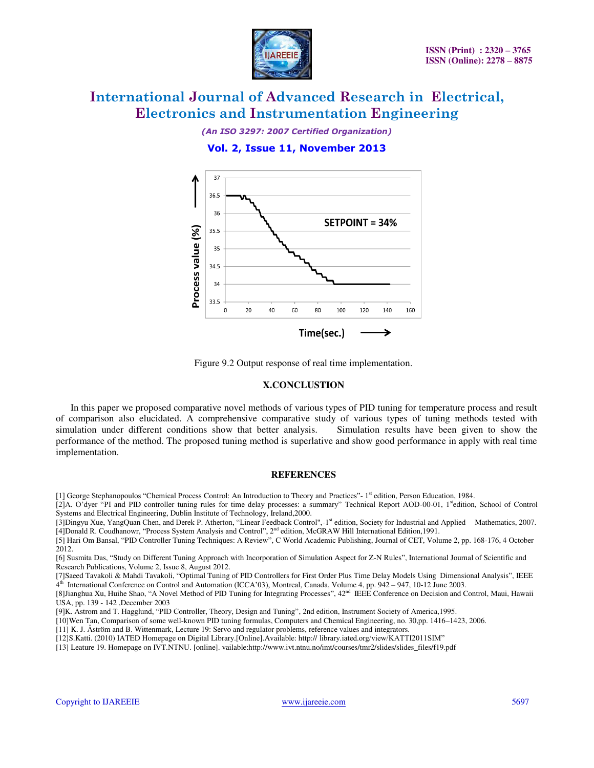*(An ISO 3297: 2007 Certified Organization)* 

#### **Vol. 2, Issue 11, November 2013**



Figure 9.2 Output response of real time implementation.

#### **X.CONCLUSTION**

 In this paper we proposed comparative novel methods of various types of PID tuning for temperature process and result of comparison also elucidated. A comprehensive comparative study of various types of tuning methods tested with simulation under different conditions show that better analysis. Simulation results have been given to show the performance of the method. The proposed tuning method is superlative and show good performance in apply with real time implementation.

#### **REFERENCES**

[1] George Stephanopoulos "Chemical Process Control: An Introduction to Theory and Practices"- 1st edition, Person Education, 1984.

[2]A. O'dyer "PI and PID controller tuning rules for time delay processes: a summary" Technical Report AOD-00-01, 1<sup>st</sup>edition, School of Control Systems and Electrical Engineering, Dublin Institute of Technology, Ireland,2000.

[3]Dingyu Xue, YangQuan Chen, and Derek P. Atherton, "Linear Feedback Control",-1st edition, Society for Industrial and Applied Mathematics, 2007. [4]Donald R. Coudhanowr, "Process System Analysis and Control", 2nd edition, McGRAW Hill International Edition,1991.

[5] Hari Om Bansal, "PID Controller Tuning Techniques: A Review", C World Academic Publishing, Journal of CET, Volume 2, pp. 168-176, 4 October 2012.

[6] Susmita Das, "Study on Different Tuning Approach with Incorporation of Simulation Aspect for Z-N Rules", International Journal of Scientific and Research Publications, Volume 2, Issue 8, August 2012.

[7]Saeed Tavakoli & Mahdi Tavakoli, "Optimal Tuning of PID Controllers for First Order Plus Time Delay Models Using Dimensional Analysis", IEEE 4 th International Conference on Control and Automation (ICCA'03), Montreal, Canada, Volume 4, pp. 942 – 947, 10-12 June 2003.

[8]Jianghua Xu, Huihe Shao, "A Novel Method of PID Tuning for Integrating Processes", 42<sup>nd</sup> IEEE Conference on Decision and Control, Maui, Hawaii USA, pp. 139 - 142 ,December 2003

[9]K. Astrom and T. Hagglund, "PID Controller, Theory, Design and Tuning", 2nd edition, Instrument Society of America,1995.

[10]Wen Tan, Comparison of some well-known PID tuning formulas, Computers and Chemical Engineering, no. 30,pp. 1416–1423, 2006.

[11] K. J. Åström and B. Wittenmark, Lecture 19: Servo and regulator problems, reference values and integrators.

[12]S.Katti. (2010) IATED Homepage on Digital Library.[Online].Available: http:// library.iated.org/view/KATTI2011SIM"

[13] [Leature 19. Homepage on IVT.NTNU. \[online\]. vailable:http://www.ivt.ntnu.no/imt/courses/tmr2/slides/slides\\_files/f19.pdf](file:///C:/Users/Domnic/Desktop/Leature%2019.%20Homepage%20on%20IVT.NTNU.%20%5bonline%5d.%20Available:%20http:/www.ivt.ntnu.no/imt/courses/tmr2/slides/slides_files/f19.pdf)